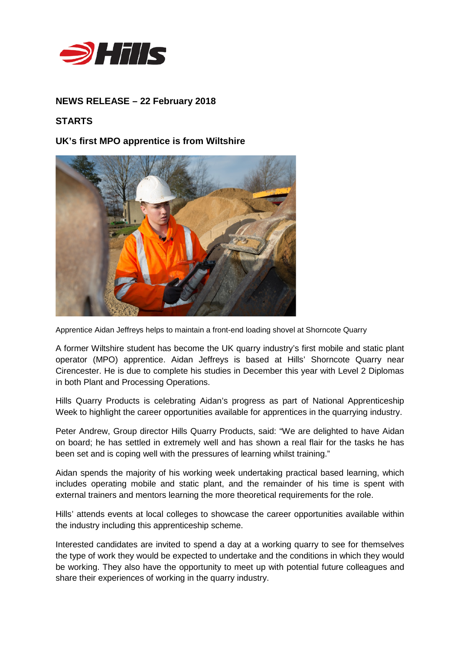

## **NEWS RELEASE – 22 February 2018**

## **STARTS**

**UK's first MPO apprentice is from Wiltshire**



Apprentice Aidan Jeffreys helps to maintain a front-end loading shovel at Shorncote Quarry

A former Wiltshire student has become the UK quarry industry's first mobile and static plant operator (MPO) apprentice. Aidan Jeffreys is based at Hills' Shorncote Quarry near Cirencester. He is due to complete his studies in December this year with Level 2 Diplomas in both Plant and Processing Operations.

Hills Quarry Products is celebrating Aidan's progress as part of National Apprenticeship Week to highlight the career opportunities available for apprentices in the quarrying industry.

Peter Andrew, Group director Hills Quarry Products, said: "We are delighted to have Aidan on board; he has settled in extremely well and has shown a real flair for the tasks he has been set and is coping well with the pressures of learning whilst training."

Aidan spends the majority of his working week undertaking practical based learning, which includes operating mobile and static plant, and the remainder of his time is spent with external trainers and mentors learning the more theoretical requirements for the role.

Hills' attends events at local colleges to showcase the career opportunities available within the industry including this apprenticeship scheme.

Interested candidates are invited to spend a day at a working quarry to see for themselves the type of work they would be expected to undertake and the conditions in which they would be working. They also have the opportunity to meet up with potential future colleagues and share their experiences of working in the quarry industry.